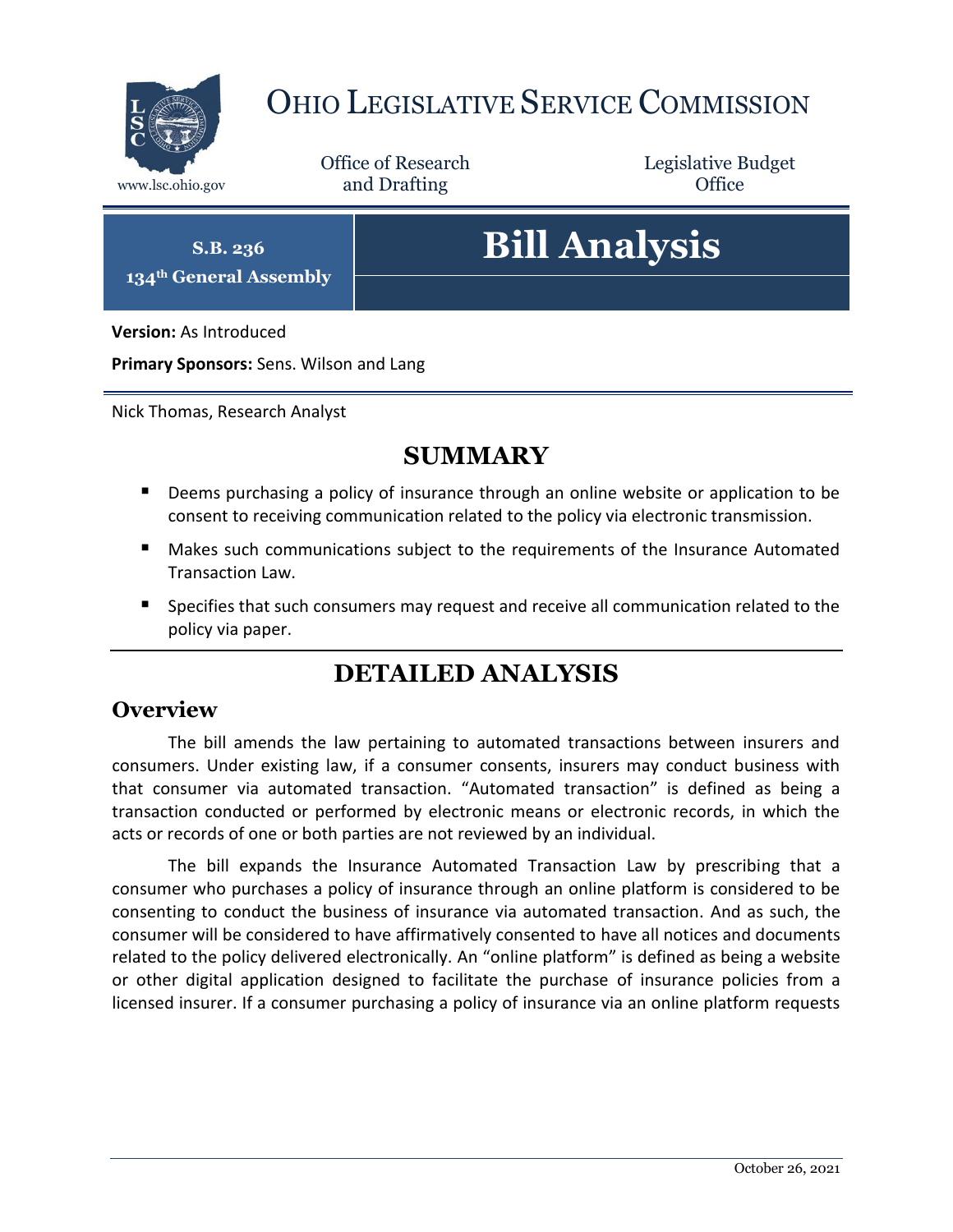

## OHIO LEGISLATIVE SERVICE COMMISSION

Office of Research www.lsc.ohio.gov **and Drafting Office** 

Legislative Budget

**S.B. 236 134th General Assembly**

# **Bill Analysis**

**Version:** As Introduced

**Primary Sponsors:** Sens. Wilson and Lang

Nick Thomas, Research Analyst

### **SUMMARY**

- **Deems purchasing a policy of insurance through an online website or application to be** consent to receiving communication related to the policy via electronic transmission.
- Makes such communications subject to the requirements of the Insurance Automated Transaction Law.
- **Specifies that such consumers may request and receive all communication related to the** policy via paper.

## **DETAILED ANALYSIS**

#### **Overview**

The bill amends the law pertaining to automated transactions between insurers and consumers. Under existing law, if a consumer consents, insurers may conduct business with that consumer via automated transaction. "Automated transaction" is defined as being a transaction conducted or performed by electronic means or electronic records, in which the acts or records of one or both parties are not reviewed by an individual.

The bill expands the Insurance Automated Transaction Law by prescribing that a consumer who purchases a policy of insurance through an online platform is considered to be consenting to conduct the business of insurance via automated transaction. And as such, the consumer will be considered to have affirmatively consented to have all notices and documents related to the policy delivered electronically. An "online platform" is defined as being a website or other digital application designed to facilitate the purchase of insurance policies from a licensed insurer. If a consumer purchasing a policy of insurance via an online platform requests